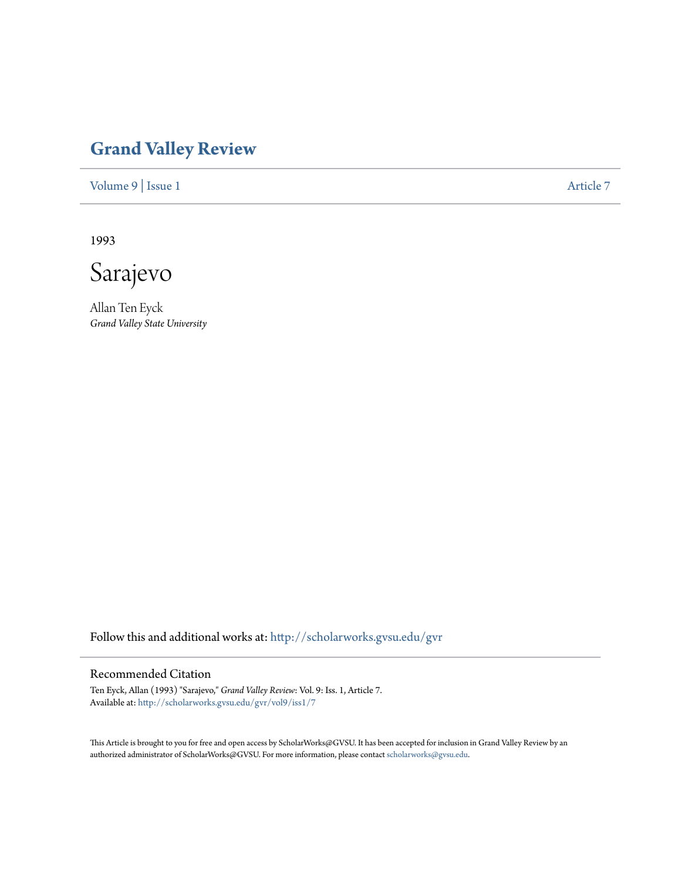## **[Grand Valley Review](http://scholarworks.gvsu.edu/gvr?utm_source=scholarworks.gvsu.edu%2Fgvr%2Fvol9%2Fiss1%2F7&utm_medium=PDF&utm_campaign=PDFCoverPages)**

[Volume 9](http://scholarworks.gvsu.edu/gvr/vol9?utm_source=scholarworks.gvsu.edu%2Fgvr%2Fvol9%2Fiss1%2F7&utm_medium=PDF&utm_campaign=PDFCoverPages) | [Issue 1](http://scholarworks.gvsu.edu/gvr/vol9/iss1?utm_source=scholarworks.gvsu.edu%2Fgvr%2Fvol9%2Fiss1%2F7&utm_medium=PDF&utm_campaign=PDFCoverPages) [Article 7](http://scholarworks.gvsu.edu/gvr/vol9/iss1/7?utm_source=scholarworks.gvsu.edu%2Fgvr%2Fvol9%2Fiss1%2F7&utm_medium=PDF&utm_campaign=PDFCoverPages)

1993

Sarajevo

Allan Ten Eyck *Grand Valley State University*

Follow this and additional works at: [http://scholarworks.gvsu.edu/gvr](http://scholarworks.gvsu.edu/gvr?utm_source=scholarworks.gvsu.edu%2Fgvr%2Fvol9%2Fiss1%2F7&utm_medium=PDF&utm_campaign=PDFCoverPages)

## Recommended Citation

Ten Eyck, Allan (1993) "Sarajevo," *Grand Valley Review*: Vol. 9: Iss. 1, Article 7. Available at: [http://scholarworks.gvsu.edu/gvr/vol9/iss1/7](http://scholarworks.gvsu.edu/gvr/vol9/iss1/7?utm_source=scholarworks.gvsu.edu%2Fgvr%2Fvol9%2Fiss1%2F7&utm_medium=PDF&utm_campaign=PDFCoverPages)

This Article is brought to you for free and open access by ScholarWorks@GVSU. It has been accepted for inclusion in Grand Valley Review by an authorized administrator of ScholarWorks@GVSU. For more information, please contact [scholarworks@gvsu.edu.](mailto:scholarworks@gvsu.edu)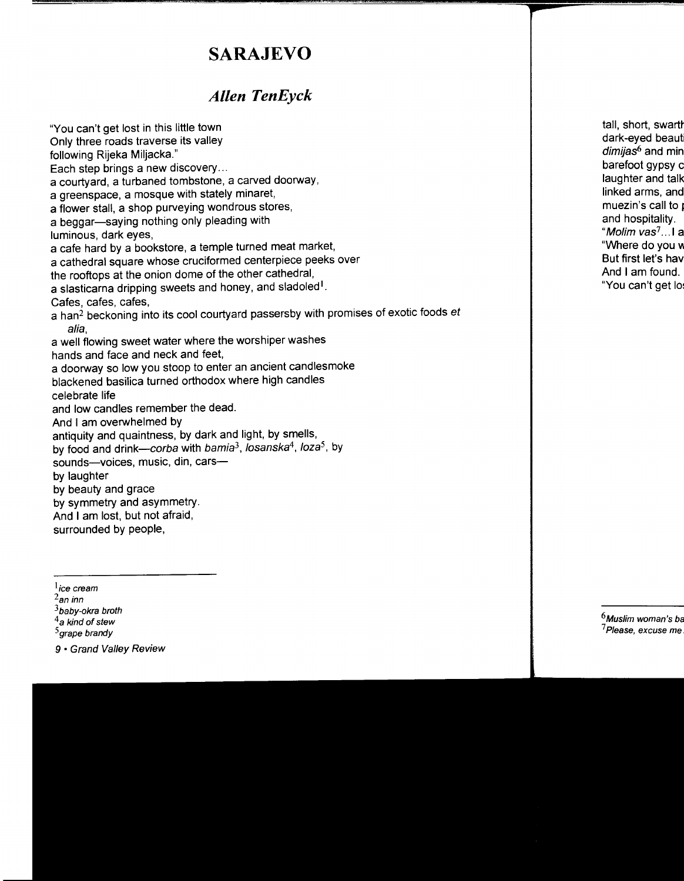## **SARAJEVO**

## *Allen TenEyck*

"You can't get lost in this little town

Only three roads traverse its valley

following Rijeka Miljacka."

Each step brings a new discovery...

a courtyard, a turbaned tombstone, a carved doorway,

a greenspace, a mosque with stately minaret,

a flower stall, a shop purveying wondrous stores,

a beggar-saying nothing only pleading with

luminous, dark eyes,

a cafe hard by a bookstore, a temple turned meat market,

a cathedral square whose cruciformed centerpiece peeks over

the rooftops at the onion dome of the other cathedral,

a slasticarna dripping sweets and honey, and sladoled<sup>1</sup>.

Cafes, cafes, cafes,

a han<sup>2</sup> beckoning into its cool courtyard passersby with promises of exotic foods et alia,

a well flowing sweet water where the worshiper washes hands and face and neck and feet,

a doorway so low you stoop to enter an ancient candlesmoke

blackened basilica turned orthodox where high candles

celebrate life

and low candles remember the dead.

And I am overwhelmed by

antiquity and quaintness, by dark and light, by smells,

by food and drink-corba with bamia3, /osanska*4,* loza*5,* by

sounds-voices, music, din, cars-

by laughter

by beauty and grace

by symmetry and asymmetry.

And I am lost, but not afraid,

surrounded by people,

<sup>5</sup> grape brandy

9 • Grand Valley Review

<sup>&</sup>lt;sup>1</sup>ice cream<br><sup>2</sup>an inn

 $3$ baby-okra broth

 $^4$ a kind of stew